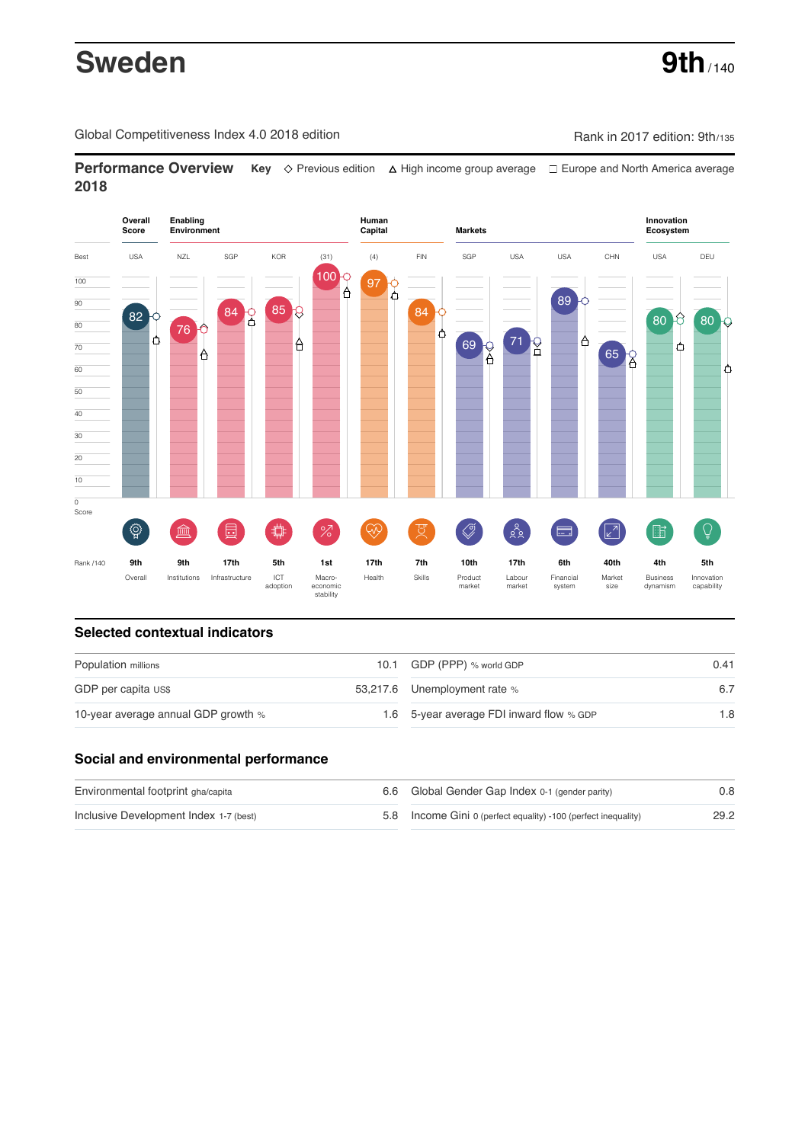# **Sweden** 9th<sub>/140</sub>

Global Competitiveness Index 4.0 2018 edition Company Company Rank in 2017 edition: 9th/135

**Performance Overview** Key  $\Diamond$  Previous edition ∆ High income group average  $\Box$  Europe and North America average **2018**



## **Selected contextual indicators**

| Population millions                 |  | 10.1 GDP (PPP) % world GDP               | 0.41 |  |
|-------------------------------------|--|------------------------------------------|------|--|
| GDP per capita US\$                 |  | 53,217.6 Unemployment rate %             |      |  |
| 10-year average annual GDP growth % |  | 1.6 5-year average FDI inward flow % GDP | 1.8  |  |

## **Social and environmental performance**

| Environmental footprint gha/capita     | 6.6 Global Gender Gap Index 0-1 (gender parity)                | 0.8  |
|----------------------------------------|----------------------------------------------------------------|------|
| Inclusive Development Index 1-7 (best) | 5.8 Income Gini 0 (perfect equality) -100 (perfect inequality) | 29.2 |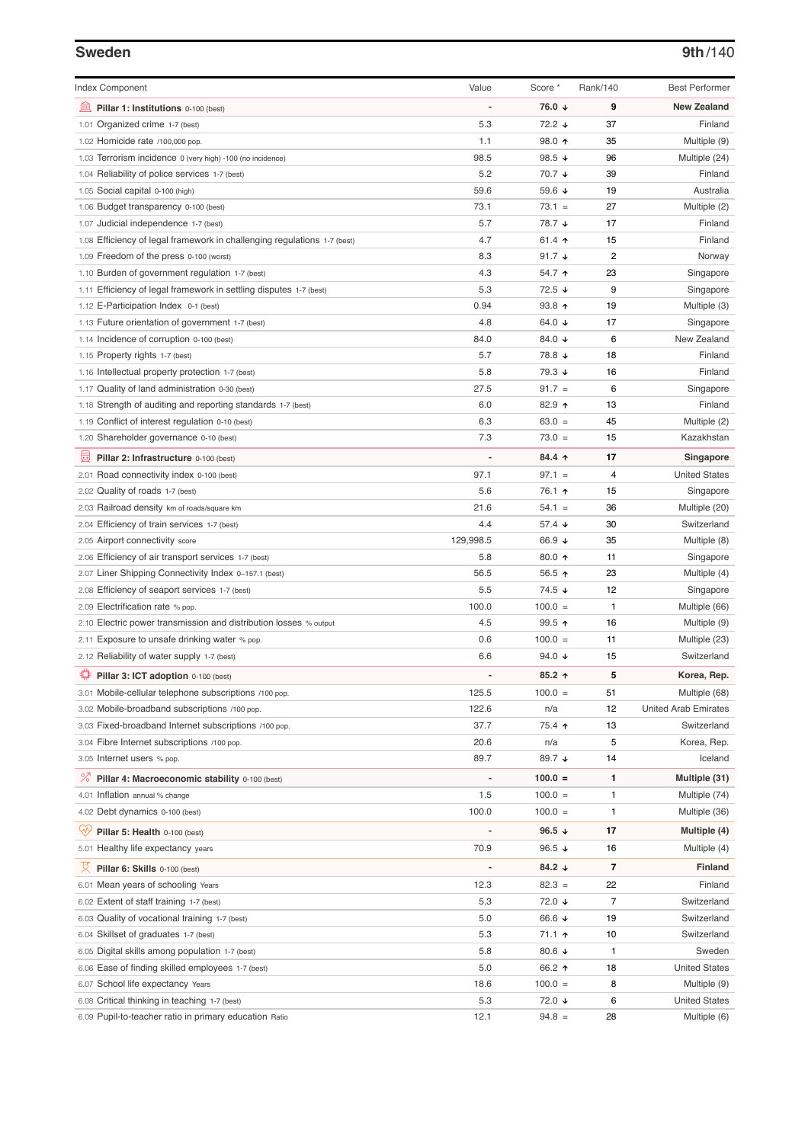#### **Sweden 9th**/140

| <b>Index Component</b>                                                                               | Value                    | Score *           | Rank/140                 | <b>Best Performer</b>               |
|------------------------------------------------------------------------------------------------------|--------------------------|-------------------|--------------------------|-------------------------------------|
| 皿<br>Pillar 1: Institutions 0-100 (best)                                                             | ÷,                       | 76.0 ↓            | 9                        | <b>New Zealand</b>                  |
| 1.01 Organized crime 1-7 (best)                                                                      | 5.3                      | 72.2 ↓            | 37                       | Finland                             |
| 1.02 Homicide rate /100,000 pop.                                                                     | 1.1                      | 98.0 个            | 35                       | Multiple (9)                        |
| 1.03 Terrorism incidence 0 (very high) -100 (no incidence)                                           | 98.5                     | 98.5 ↓            | 96                       | Multiple (24)                       |
| 1.04 Reliability of police services 1-7 (best)                                                       | 5.2                      | 70.7 ↓            | 39                       | Finland                             |
| 1.05 Social capital 0-100 (high)                                                                     | 59.6                     | 59.6 ↓            | 19                       | Australia                           |
| 1.06 Budget transparency 0-100 (best)                                                                | 73.1                     | $73.1 =$          | 27                       | Multiple (2)                        |
| 1.07 Judicial independence 1-7 (best)                                                                | 5.7                      | 78.7 ↓            | 17                       | Finland                             |
| 1.08 Efficiency of legal framework in challenging regulations 1-7 (best)                             | 4.7                      | 61.4 ተ            | 15                       | Finland                             |
| 1.09 Freedom of the press 0-100 (worst)                                                              | 8.3                      | 91.7 $\sqrt{ }$   | $\overline{c}$           | Norway                              |
| 1.10 Burden of government regulation 1-7 (best)                                                      | 4.3                      | 54.7 ↑            | 23                       | Singapore                           |
| 1.11 Efficiency of legal framework in settling disputes 1-7 (best)                                   | 5.3                      | 72.5 ↓            | 9                        | Singapore                           |
| 1.12 E-Participation Index 0-1 (best)                                                                | 0.94                     | 93.8 个            | 19                       | Multiple (3)                        |
| 1.13 Future orientation of government 1-7 (best)                                                     | 4.8                      | 64.0 ↓            | 17                       | Singapore                           |
| 1.14 Incidence of corruption 0-100 (best)                                                            | 84.0                     | 84.0 ↓            | 6                        | New Zealand                         |
| 1.15 Property rights 1-7 (best)                                                                      | 5.7                      | 78.8 ↓            | 18                       | Finland                             |
| 1.16 Intellectual property protection 1-7 (best)                                                     | 5.8                      | 79.3 ↓            | 16                       | Finland                             |
| 1.17 Quality of land administration 0-30 (best)                                                      | 27.5                     | $91.7 =$          | 6                        | Singapore                           |
| 1.18 Strength of auditing and reporting standards 1-7 (best)                                         | 6.0                      | 82.9 个            | 13                       | Finland                             |
| 1.19 Conflict of interest regulation 0-10 (best)                                                     | 6.3                      | $63.0 =$          | 45                       | Multiple (2)                        |
| 1.20 Shareholder governance 0-10 (best)                                                              | 7.3                      | $73.0 =$          | 15                       | Kazakhstan                          |
| 員<br>Pillar 2: Infrastructure 0-100 (best)                                                           |                          | 84.4 个            | 17                       | Singapore                           |
| 2.01 Road connectivity index 0-100 (best)                                                            | 97.1                     | $97.1 =$          | 4                        | <b>United States</b>                |
| 2.02 Quality of roads 1-7 (best)                                                                     | 5.6                      | 76.1 ተ            | 15                       | Singapore                           |
| 2.03 Railroad density km of roads/square km                                                          | 21.6                     | $54.1 =$          | 36                       | Multiple (20)                       |
| 2.04 Efficiency of train services 1-7 (best)                                                         | 4.4                      | 57.4 ↓            | 30                       | Switzerland                         |
| 2.05 Airport connectivity score                                                                      | 129,998.5                | 66.9 ↓            | 35                       | Multiple (8)                        |
| 2.06 Efficiency of air transport services 1-7 (best)                                                 | 5.8                      | 80.0 ↑            | 11                       | Singapore                           |
| 2.07 Liner Shipping Connectivity Index 0-157.1 (best)                                                | 56.5                     | 56.5 ↑            | 23                       | Multiple (4)                        |
| 2.08 Efficiency of seaport services 1-7 (best)                                                       | 5.5                      | 74.5 ↓            | 12                       | Singapore                           |
| 2.09 Electrification rate % pop.                                                                     | 100.0                    | $100.0 =$         | 1                        | Multiple (66)                       |
| 2.10 Electric power transmission and distribution losses % output                                    | 4.5                      | 99.5 个            | 16                       | Multiple (9)                        |
| Exposure to unsafe drinking water % pop.<br>2.11                                                     | 0.6                      | $100.0 =$         | 11                       | Multiple (23)                       |
| 2.12 Reliability of water supply 1-7 (best)                                                          | 6.6                      | 94.0 $\sqrt{ }$   | 15                       | Switzerland                         |
| ₽<br>Pillar 3: ICT adoption 0-100 (best)                                                             | $\overline{a}$           | 85.2 ↑            | 5                        | Korea, Rep.                         |
| 3.01 Mobile-cellular telephone subscriptions /100 pop.                                               | 125.5                    | $100.0 =$         | 51                       | Multiple (68)                       |
|                                                                                                      | 122.6                    |                   |                          |                                     |
| 3.02 Mobile-broadband subscriptions /100 pop.                                                        | 37.7                     | n/a<br>75.4 ተ     | 12<br>13                 | United Arab Emirates<br>Switzerland |
| 3.03 Fixed-broadband Internet subscriptions /100 pop.<br>3.04 Fibre Internet subscriptions /100 pop. | 20.6                     | n/a               | 5                        |                                     |
| 3.05 Internet users % pop.                                                                           | 89.7                     | 89.7 ↓            | 14                       | Korea, Rep.<br>Iceland              |
|                                                                                                      |                          |                   |                          |                                     |
| ℅<br>Pillar 4: Macroeconomic stability 0-100 (best)                                                  | $\overline{\phantom{a}}$ | $100.0 =$         | 1                        | Multiple (31)                       |
| 4.01 Inflation annual % change                                                                       | 1.5                      | $100.0 =$         | 1                        | Multiple (74)                       |
| 4.02 Debt dynamics 0-100 (best)                                                                      | 100.0                    | $100.0 =$         | 1                        | Multiple (36)                       |
| Qiy<br>Pillar 5: Health 0-100 (best)                                                                 |                          | 96.5 $\sqrt{ }$   | 17                       | Multiple (4)                        |
| 5.01 Healthy life expectancy years                                                                   | 70.9                     | 96.5 $\sqrt{ }$   | 16                       | Multiple (4)                        |
| 섯<br>Pillar 6: Skills 0-100 (best)                                                                   | $\overline{\phantom{m}}$ | 84.2 $\downarrow$ | 7                        | <b>Finland</b>                      |
| 6.01 Mean years of schooling Years                                                                   | 12.3                     | $82.3 =$          | 22                       | Finland                             |
| 6.02 Extent of staff training 1-7 (best)                                                             | 5.3                      | 72.0 ↓            | $\overline{\mathcal{I}}$ | Switzerland                         |
| 6.03 Quality of vocational training 1-7 (best)                                                       | 5.0                      | 66.6 ↓            | 19                       | Switzerland                         |
| 6.04 Skillset of graduates 1-7 (best)                                                                | 5.3                      | 71.1 ተ            | 10                       | Switzerland                         |
| 6.05 Digital skills among population 1-7 (best)                                                      | 5.8                      | 80.6 $\sqrt{ }$   | 1                        | Sweden                              |
| 6.06 Ease of finding skilled employees 1-7 (best)                                                    | 5.0                      | 66.2 ↑            | 18                       | <b>United States</b>                |
| 6.07 School life expectancy Years                                                                    | 18.6                     | $100.0 =$         | 8                        | Multiple (9)                        |
| 6.08 Critical thinking in teaching 1-7 (best)                                                        | 5.3                      | 72.0 ↓            | 6                        | <b>United States</b>                |
| 6.09 Pupil-to-teacher ratio in primary education Ratio                                               | 12.1                     | $94.8 =$          | 28                       | Multiple (6)                        |